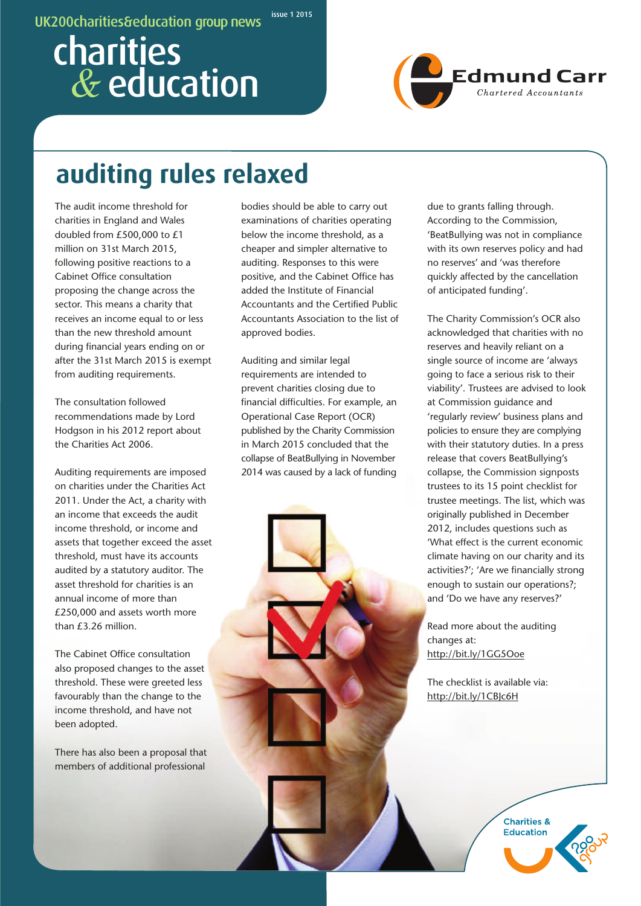#### **issue 1 2015 UK200charities&education group news**

# **charities** *&* **education**



## **auditing rules relaxed**

The audit income threshold for charities in England and Wales doubled from £500,000 to £1 million on 31st March 2015, following positive reactions to a Cabinet Office consultation proposing the change across the sector. This means a charity that receives an income equal to or less than the new threshold amount during financial years ending on or after the 31st March 2015 is exempt from auditing requirements.

The consultation followed recommendations made by Lord Hodgson in his 2012 report about the Charities Act 2006.

Auditing requirements are imposed on charities under the Charities Act 2011. Under the Act, a charity with an income that exceeds the audit income threshold, or income and assets that together exceed the asset threshold, must have its accounts audited by a statutory auditor. The asset threshold for charities is an annual income of more than £250,000 and assets worth more than £3.26 million.

The Cabinet Office consultation also proposed changes to the asset threshold. These were greeted less favourably than the change to the income threshold, and have not been adopted.

There has also been a proposal that members of additional professional

bodies should be able to carry out examinations of charities operating below the income threshold, as a cheaper and simpler alternative to auditing. Responses to this were positive, and the Cabinet Office has added the Institute of Financial Accountants and the Certified Public Accountants Association to the list of approved bodies.

Auditing and similar legal requirements are intended to prevent charities closing due to financial difficulties. For example, an Operational Case Report (OCR) published by the Charity Commission in March 2015 concluded that the collapse of BeatBullying in November 2014 was caused by a lack of funding due to grants falling through. According to the Commission, 'BeatBullying was not in compliance with its own reserves policy and had no reserves' and 'was therefore quickly affected by the cancellation of anticipated funding'.

The Charity Commission's OCR also acknowledged that charities with no reserves and heavily reliant on a single source of income are 'always going to face a serious risk to their viability'. Trustees are advised to look at Commission guidance and 'regularly review' business plans and policies to ensure they are complying with their statutory duties. In a press release that covers BeatBullying's collapse, the Commission signposts trustees to its 15 point checklist for trustee meetings. The list, which was originally published in December 2012, includes questions such as 'What effect is the current economic climate having on our charity and its activities?'; 'Are we financially strong enough to sustain our operations?; and 'Do we have any reserves?'

Read more about the auditing changes at: http://bit.ly/1GG5Ooe

The checklist is available via: http://bit.ly/1CBJc6H

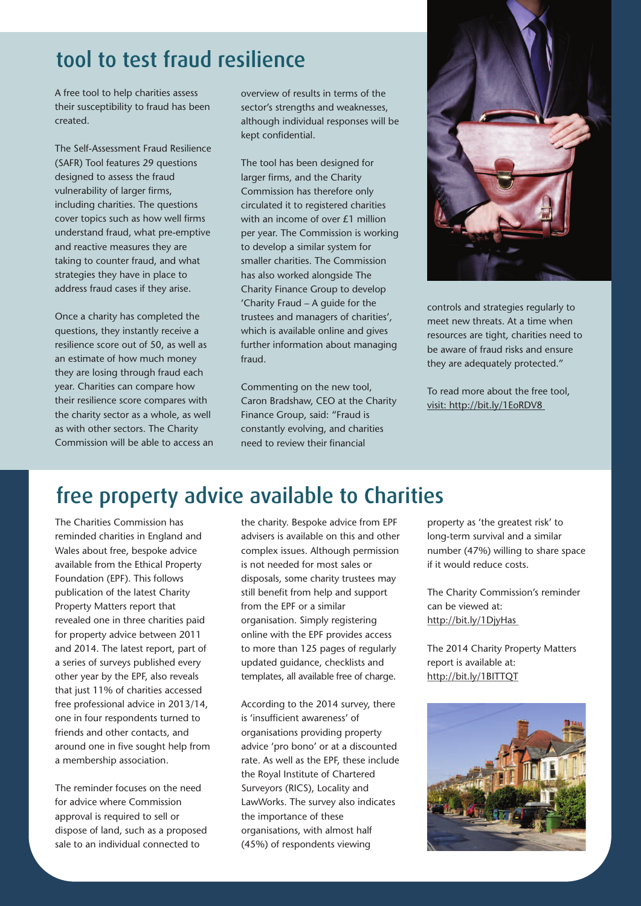### **tool to test fraud resilience**

A free tool to help charities assess their susceptibility to fraud has been created.

The Self-Assessment Fraud Resilience (SAFR) Tool features 29 questions designed to assess the fraud vulnerability of larger firms, including charities. The questions cover topics such as how well firms understand fraud, what pre-emptive and reactive measures they are taking to counter fraud, and what strategies they have in place to address fraud cases if they arise.

Once a charity has completed the questions, they instantly receive a resilience score out of 50, as well as an estimate of how much money they are losing through fraud each year. Charities can compare how their resilience score compares with the charity sector as a whole, as well as with other sectors. The Charity Commission will be able to access an overview of results in terms of the sector's strengths and weaknesses, although individual responses will be kept confidential.

The tool has been designed for larger firms, and the Charity Commission has therefore only circulated it to registered charities with an income of over £1 million per year. The Commission is working to develop a similar system for smaller charities. The Commission has also worked alongside The Charity Finance Group to develop 'Charity Fraud – A guide for the trustees and managers of charities', which is available online and gives further information about managing fraud.

Commenting on the new tool, Caron Bradshaw, CEO at the Charity Finance Group, said: "Fraud is constantly evolving, and charities need to review their financial



controls and strategies regularly to meet new threats. At a time when resources are tight, charities need to be aware of fraud risks and ensure they are adequately protected."

To read more about the free tool, visit: http://bit.ly/1EoRDV8

### **free property advice available to Charities**

The Charities Commission has reminded charities in England and Wales about free, bespoke advice available from the Ethical Property Foundation (EPF). This follows publication of the latest Charity Property Matters report that revealed one in three charities paid for property advice between 2011 and 2014. The latest report, part of a series of surveys published every other year by the EPF, also reveals that just 11% of charities accessed free professional advice in 2013/14, one in four respondents turned to friends and other contacts, and around one in five sought help from a membership association.

The reminder focuses on the need for advice where Commission approval is required to sell or dispose of land, such as a proposed sale to an individual connected to

the charity. Bespoke advice from EPF advisers is available on this and other complex issues. Although permission is not needed for most sales or disposals, some charity trustees may still benefit from help and support from the EPF or a similar organisation. Simply registering online with the EPF provides access to more than 125 pages of regularly updated guidance, checklists and templates, all available free of charge.

According to the 2014 survey, there is 'insufficient awareness' of organisations providing property advice 'pro bono' or at a discounted rate. As well as the EPF, these include the Royal Institute of Chartered Surveyors (RICS), Locality and LawWorks. The survey also indicates the importance of these organisations, with almost half (45%) of respondents viewing

property as 'the greatest risk' to long-term survival and a similar number (47%) willing to share space if it would reduce costs.

The Charity Commission's reminder can be viewed at: http://bit.ly/1DjyHas

The 2014 Charity Property Matters report is available at: http://bit.ly/1BITTQT

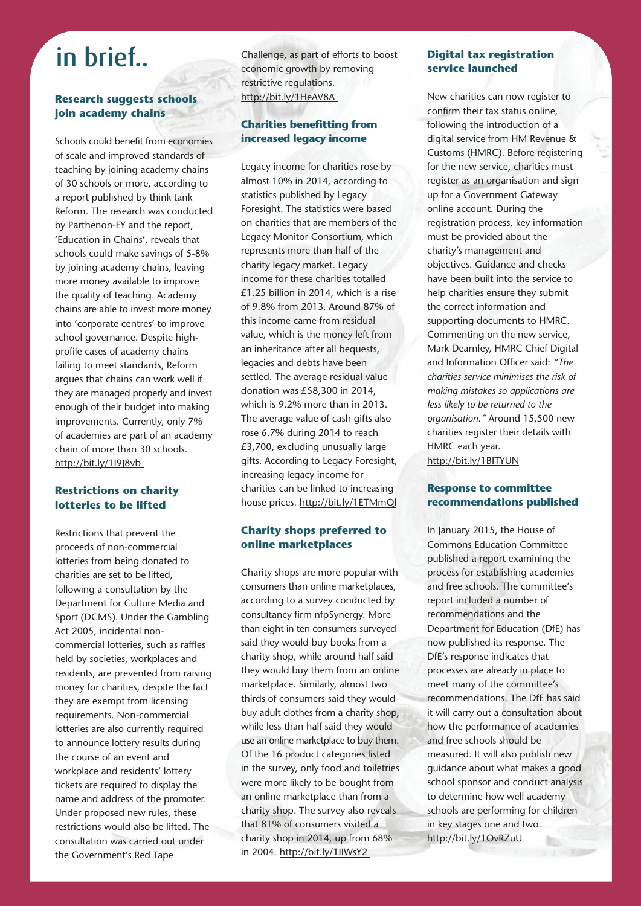## **in brief..**

#### **Research suggests schools join academy chains**

Schools could benefit from economies of scale and improved standards of teaching by joining academy chains of 30 schools or more, according to a report published by think tank Reform. The research was conducted by Parthenon-EY and the report, 'Education in Chains', reveals that schools could make savings of 5-8% by joining academy chains, leaving more money available to improve the quality of teaching. Academy chains are able to invest more money into 'corporate centres' to improve school governance. Despite highprofile cases of academy chains failing to meet standards, Reform argues that chains can work well if they are managed properly and invest enough of their budget into making improvements. Currently, only 7% of academies are part of an academy chain of more than 30 schools. http://bit.ly/1I9J8vb

#### **Restrictions on charity lotteries to be lifted**

Restrictions that prevent the proceeds of non-commercial lotteries from being donated to charities are set to be lifted, following a consultation by the Department for Culture Media and Sport (DCMS). Under the Gambling Act 2005, incidental noncommercial lotteries, such as raffles held by societies, workplaces and residents, are prevented from raising money for charities, despite the fact they are exempt from licensing requirements. Non-commercial lotteries are also currently required to announce lottery results during the course of an event and workplace and residents' lottery tickets are required to display the name and address of the promoter. Under proposed new rules, these restrictions would also be lifted. The consultation was carried out under the Government's Red Tape

Challenge, as part of efforts to boost economic growth by removing restrictive regulations. http://bit.ly/1HeAV8A

#### **Charities benefitting from increased legacy income**

Legacy income for charities rose by almost 10% in 2014, according to statistics published by Legacy Foresight. The statistics were based on charities that are members of the Legacy Monitor Consortium, which represents more than half of the charity legacy market. Legacy income for these charities totalled £1.25 billion in 2014, which is a rise of 9.8% from 2013. Around 87% of this income came from residual value, which is the money left from an inheritance after all bequests, legacies and debts have been settled. The average residual value donation was £58,300 in 2014, which is 9.2% more than in 2013. The average value of cash gifts also rose 6.7% during 2014 to reach £3,700, excluding unusually large gifts. According to Legacy Foresight, increasing legacy income for charities can be linked to increasing house prices. http://bit.ly/1ETMmQl

#### **Charity shops preferred to online marketplaces**

Charity shops are more popular with consumers than online marketplaces, according to a survey conducted by consultancy firm nfpSynergy. More than eight in ten consumers surveyed said they would buy books from a charity shop, while around half said they would buy them from an online marketplace. Similarly, almost two thirds of consumers said they would buy adult clothes from a charity shop, while less than half said they would use an online marketplace to buy them. Of the 16 product categories listed in the survey, only food and toiletries were more likely to be bought from an online marketplace than from a charity shop. The survey also reveals that 81% of consumers visited a charity shop in 2014, up from 68% in 2004. http://bit.ly/1IIWsY2

#### **Digital tax registration service launched**

New charities can now register to confirm their tax status online, following the introduction of a digital service from HM Revenue & Customs (HMRC). Before registering for the new service, charities must register as an organisation and sign up for a Government Gateway online account. During the registration process, key information must be provided about the charity's management and objectives. Guidance and checks have been built into the service to help charities ensure they submit the correct information and supporting documents to HMRC. Commenting on the new service, Mark Dearnley, HMRC Chief Digital and Information Officer said: *"The charities service minimises the risk of making mistakes so applications are less likely to be returned to the organisation."* Around 15,500 new charities register their details with HMRC each year. http://bit.ly/1BITYUN

#### **Response to committee recommendations published**

In January 2015, the House of Commons Education Committee published a report examining the process for establishing academies and free schools. The committee's report included a number of recommendations and the Department for Education (DfE) has now published its response. The DfE's response indicates that processes are already in place to meet many of the committee's recommendations. The DfE has said it will carry out a consultation about how the performance of academies and free schools should be measured. It will also publish new guidance about what makes a good school sponsor and conduct analysis to determine how well academy schools are performing for children in key stages one and two. http://bit.ly/1OvRZuU